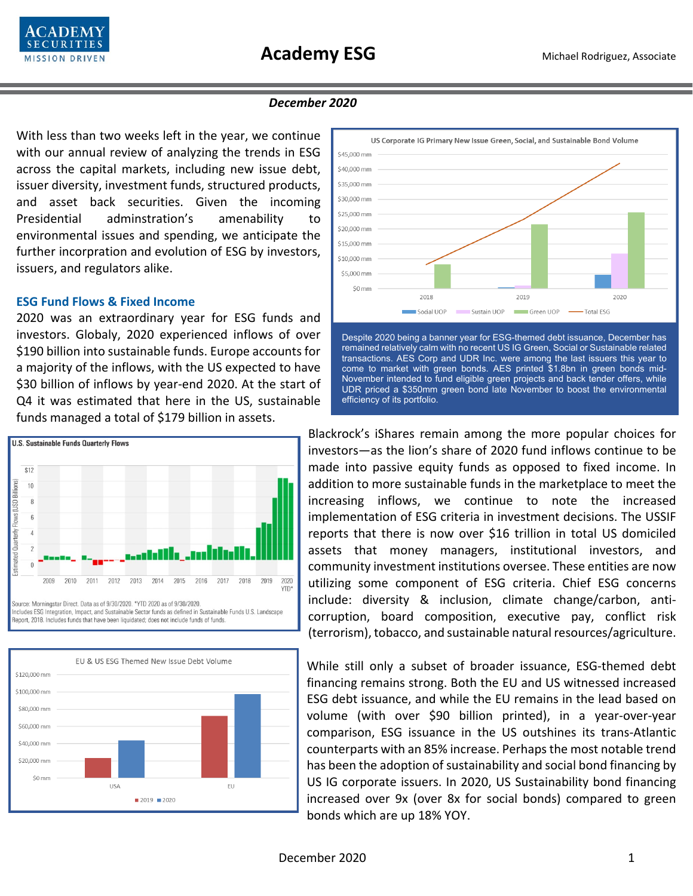

### *December 2020*

With less than two weeks left in the year, we continue with our annual review of analyzing the trends in ESG across the capital markets, including new issue debt, issuer diversity, investment funds, structured products, and asset back securities. Given the incoming Presidential adminstration's amenability to environmental issues and spending, we anticipate the further incorpration and evolution of ESG by investors, issuers, and regulators alike.

# **ESG Fund Flows & Fixed Income**

2020 was an extraordinary year for ESG funds and investors. Globaly, 2020 experienced inflows of over \$190 billion into sustainable funds. Europe accounts for a majority of the inflows, with the US expected to have \$30 billion of inflows by year-end 2020. At the start of Q4 it was estimated that here in the US, sustainable funds managed a total of \$179 billion in assets.







Despite 2020 being a banner year for ESG-themed debt issuance, December has remained relatively calm with no recent US IG Green, Social or Sustainable related transactions. AES Corp and UDR Inc. were among the last issuers this year to come to market with green bonds. AES printed \$1.8bn in green bonds mid-November intended to fund eligible green projects and back tender offers, while UDR priced a \$350mm green bond late November to boost the environmental efficiency of its portfolio.

Blackrock's iShares remain among the more popular choices for investors—as the lion's share of 2020 fund inflows continue to be made into passive equity funds as opposed to fixed income. In addition to more sustainable funds in the marketplace to meet the increasing inflows, we continue to note the increased implementation of ESG criteria in investment decisions. The USSIF reports that there is now over \$16 trillion in total US domiciled assets that money managers, institutional investors, and community investment institutions oversee. These entities are now utilizing some component of ESG criteria. Chief ESG concerns include: diversity & inclusion, climate change/carbon, anticorruption, board composition, executive pay, conflict risk (terrorism), tobacco, and sustainable natural resources/agriculture.

While still only a subset of broader issuance, ESG-themed debt financing remains strong. Both the EU and US witnessed increased ESG debt issuance, and while the EU remains in the lead based on volume (with over \$90 billion printed), in a year-over-year comparison, ESG issuance in the US outshines its trans-Atlantic counterparts with an 85% increase. Perhaps the most notable trend has been the adoption of sustainability and social bond financing by US IG corporate issuers. In 2020, US Sustainability bond financing increased over 9x (over 8x for social bonds) compared to green bonds which are up 18% YOY.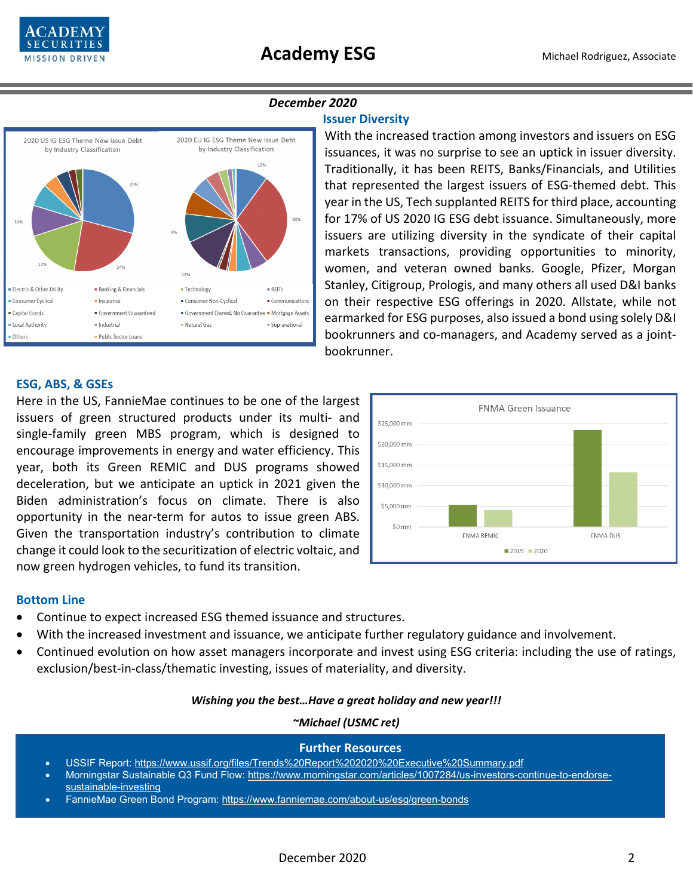



## *December 2020*

### **Issuer Diversity**

With the increased traction among investors and issuers on ESG issuances, it was no surprise to see an uptick in issuer diversity. Traditionally, it has been REITS, Banks/Financials, and Utilities that represented the largest issuers of ESG-themed debt. This year in the US, Tech supplanted REITS for third place, accounting for 17% of US 2020 IG ESG debt issuance. Simultaneously, more issuers are utilizing diversity in the syndicate of their capital markets transactions, providing opportunities to minority, women, and veteran owned banks. Google, Pfizer, Morgan Stanley, Citigroup, Prologis, and many others all used D&I banks on their respective ESG offerings in 2020. Allstate, while not earmarked for ESG purposes, also issued a bond using solely D&I bookrunners and co-managers, and Academy served as a jointbookrunner.

## **ESG, ABS, & GSEs**

Here in the US, FannieMae continues to be one of the largest issuers of green structured products under its multi- and single-family green MBS program, which is designed to encourage improvements in energy and water efficiency. This year, both its Green REMIC and DUS programs showed deceleration, but we anticipate an uptick in 2021 given the Biden administration's focus on climate. There is also opportunity in the near-term for autos to issue green ABS. Given the transportation industry's contribution to climate change it could look to the securitization of electric voltaic, and now green hydrogen vehicles, to fund its transition.



#### **Bottom Line**

- Continue to expect increased ESG themed issuance and structures.
- With the increased investment and issuance, we anticipate further regulatory guidance and involvement.
- Continued evolution on how asset managers incorporate and invest using ESG criteria: including the use of ratings, exclusion/best-in-class/thematic investing, issues of materiality, and diversity.

#### *Wishing you the best…Have a great holiday and new year!!!*

### *~Michael (USMC ret)*

#### **Further Resources**

- USSIF Report: <https://www.ussif.org/files/Trends%20Report%202020%20Executive%20Summary.pdf>
- Morningstar Sustainable Q3 Fund Flow: [https://www.morningstar.com/articles/1007284/us-investors-continue-to-endorse](https://www.morningstar.com/articles/1007284/us-investors-continue-to-endorse-sustainable-investing)[sustainable-investing](https://www.morningstar.com/articles/1007284/us-investors-continue-to-endorse-sustainable-investing)
- FannieMae Green Bond Program:<https://www.fanniemae.com/about-us/esg/green-bonds>